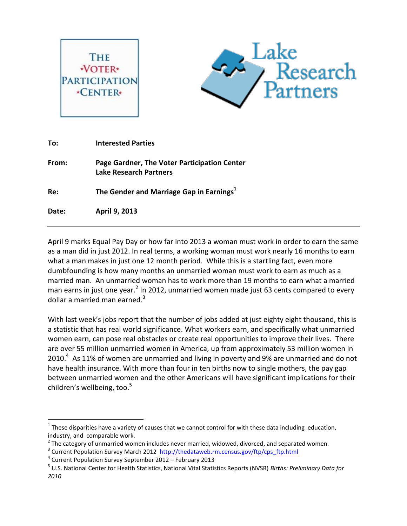



| To:   | <b>Interested Parties</b>                                                     |
|-------|-------------------------------------------------------------------------------|
| From: | Page Gardner, The Voter Participation Center<br><b>Lake Research Partners</b> |
| Re:   | The Gender and Marriage Gap in Earnings <sup>1</sup>                          |
| Date: | April 9, 2013                                                                 |
|       |                                                                               |

April 9 marks Equal Pay Day or how far into 2013 a woman must work in order to earn the same as a man did in just 2012. In real terms, a working woman must work nearly 16 months to earn what a man makes in just one 12 month period. While this is a startling fact, even more dumbfounding is how many months an unmarried woman must work to earn as much as a married man. An unmarried woman has to work more than 19 months to earn what a married man earns in just one year.<sup>2</sup> In 2012, unmarried women made just 63 cents compared to every dollar a married man earned. $3$ 

With last week's jobs report that the number of jobs added at just eighty eight thousand, this is a statistic that has real world significance. What workers earn, and specifically what unmarried women earn, can pose real obstacles or create real opportunities to improve their lives. There are over 55 million unmarried women in America, up from approximately 53 million women in 2010. $4$  As 11% of women are unmarried and living in poverty and 9% are unmarried and do not have health insurance. With more than four in ten births now to single mothers, the pay gap between unmarried women and the other Americans will have significant implications for their children's wellbeing, too. $5$ 

 $\overline{a}$ 

 $<sup>1</sup>$  These disparities have a variety of causes that we cannot control for with these data including education,</sup> industry, and comparable work.

 $2$  The category of unmarried women includes never married, widowed, divorced, and separated women.

<sup>&</sup>lt;sup>3</sup> Current Population Survey March 2012 http://thedataweb.rm.census.gov/ftp/cps ftp.html

<sup>4</sup> Current Population Survey September 2012 – February 2013

<sup>5</sup> U.S. National Center for Health Statistics, National Vital Statistics Reports (NVSR) *Births: Preliminary Data for 2010*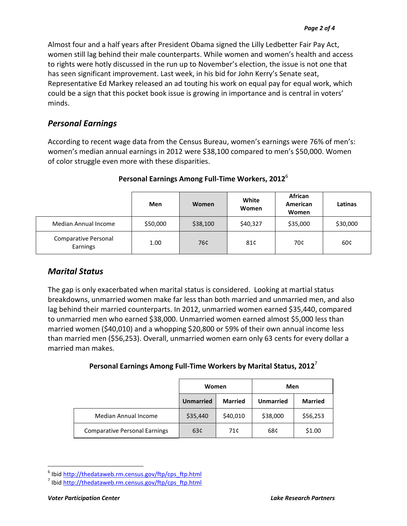Almost four and a half years after President Obama signed the Lilly Ledbetter Fair Pay Act, women still lag behind their male counterparts. While women and women's health and access to rights were hotly discussed in the run up to November's election, the issue is not one that has seen significant improvement. Last week, in his bid for John Kerry's Senate seat, Representative Ed Markey released an ad touting his work on equal pay for equal work, which could be a sign that this pocket book issue is growing in importance and is central in voters' minds.

#### *Personal Earnings*

According to recent wage data from the Census Bureau, women's earnings were 76% of men's: women's median annual earnings in 2012 were \$38,100 compared to men's \$50,000. Women of color struggle even more with these disparities.

|                                  | Men      | Women    |          | African<br>American<br>Women | Latinas  |
|----------------------------------|----------|----------|----------|------------------------------|----------|
| Median Annual Income             | \$50,000 | \$38,100 | \$40,327 | \$35,000                     | \$30,000 |
| Comparative Personal<br>Earnings | 1.00     | 76¢      | 81¢      | 70¢                          | 60¢      |

# **Personal Earnings Among Full-Time Workers, 2012** 6

# *Marital Status*

The gap is only exacerbated when marital status is considered. Looking at martial status breakdowns, unmarried women make far less than both married and unmarried men, and also lag behind their married counterparts. In 2012, unmarried women earned \$35,440, compared to unmarried men who earned \$38,000. Unmarried women earned almost \$5,000 less than married women (\$40,010) and a whopping \$20,800 or 59% of their own annual income less than married men (\$56,253). Overall, unmarried women earn only 63 cents for every dollar a married man makes.

| Personal Earnings Among Full-Time Workers by Marital Status, $20127$ |  |
|----------------------------------------------------------------------|--|
|----------------------------------------------------------------------|--|

|  |                                      | Women            |                | Men              |          |
|--|--------------------------------------|------------------|----------------|------------------|----------|
|  |                                      | <b>Unmarried</b> | <b>Married</b> | <b>Unmarried</b> |          |
|  | Median Annual Income                 | \$35,440         | \$40,010       | \$38,000         | \$56,253 |
|  | <b>Comparative Personal Earnings</b> | 63c              | 71¢            | 68¢              | \$1.00   |

 $\overline{a}$ 

<sup>&</sup>lt;sup>6</sup> Ibid [http://thedataweb.rm.census.gov/ftp/cps\\_ftp.html](http://thedataweb.rm.census.gov/ftp/cps_ftp.html)

<sup>&</sup>lt;sup>7</sup> Ibid [http://thedataweb.rm.census.gov/ftp/cps\\_ftp.html](http://thedataweb.rm.census.gov/ftp/cps_ftp.html)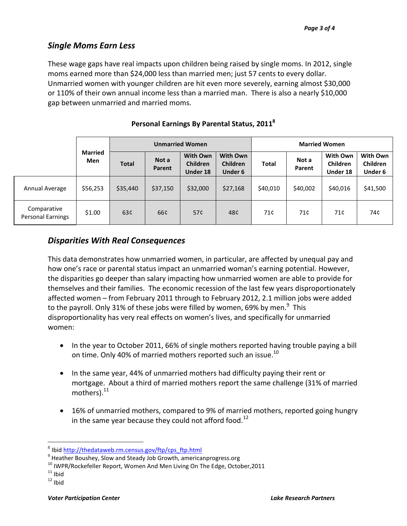# *Single Moms Earn Less*

These wage gaps have real impacts upon children being raised by single moms. In 2012, single moms earned more than \$24,000 less than married men; just 57 cents to every dollar. Unmarried women with younger children are hit even more severely, earning almost \$30,000 or 110% of their own annual income less than a married man. There is also a nearly \$10,000 gap between unmarried and married moms.

|                                         |                       |              | <b>Unmarried Women</b> |                                                       |                                               | <b>Married Women</b> |                 |                                  |                                 |
|-----------------------------------------|-----------------------|--------------|------------------------|-------------------------------------------------------|-----------------------------------------------|----------------------|-----------------|----------------------------------|---------------------------------|
|                                         | <b>Married</b><br>Men | <b>Total</b> | Not a<br>Parent        | <b>With Own</b><br><b>Children</b><br><b>Under 18</b> | <b>With Own</b><br><b>Children</b><br>Under 6 | <b>Total</b>         | Not a<br>Parent | With Own<br>Children<br>Under 18 | With Own<br>Children<br>Under 6 |
| Annual Average                          | \$56,253              | \$35,440     | \$37,150               | \$32,000                                              | \$27,168                                      | \$40,010             | \$40,002        | \$40,016                         | \$41,500                        |
| Comparative<br><b>Personal Earnings</b> | \$1.00                | 63¢          | 66¢                    | 57¢                                                   | 48¢                                           | 71¢                  | 71¢             | 71¢                              | 74¢                             |

#### **Personal Earnings By Parental Status, 2011<sup>8</sup>**

# *Disparities With Real Consequences*

This data demonstrates how unmarried women, in particular, are affected by unequal pay and how one's race or parental status impact an unmarried woman's earning potential. However, the disparities go deeper than salary impacting how unmarried women are able to provide for themselves and their families. The economic recession of the last few years disproportionately affected women – from February 2011 through to February 2012, 2.1 million jobs were added to the payroll. Only 31% of these jobs were filled by women, 69% by men.<sup>9</sup> This disproportionality has very real effects on women's lives, and specifically for unmarried women:

- In the year to October 2011, 66% of single mothers reported having trouble paying a bill on time. Only 40% of married mothers reported such an issue. $^{10}$
- In the same year, 44% of unmarried mothers had difficulty paying their rent or mortgage. About a third of married mothers report the same challenge (31% of married mothers). $^{11}$
- 16% of unmarried mothers, compared to 9% of married mothers, reported going hungry in the same year because they could not afford food.<sup>12</sup>

 $\overline{a}$ 

<sup>&</sup>lt;sup>8</sup> Ibid [http://thedataweb.rm.census.gov/ftp/cps\\_ftp.html](http://thedataweb.rm.census.gov/ftp/cps_ftp.html)

<sup>&</sup>lt;sup>9</sup> Heather Boushey, Slow and Steady Job Growth, americanprogress.org

 $10$  IWPR/Rockefeller Report, Women And Men Living On The Edge, October, 2011

 $11$  Ibid

 $12$  Ibid